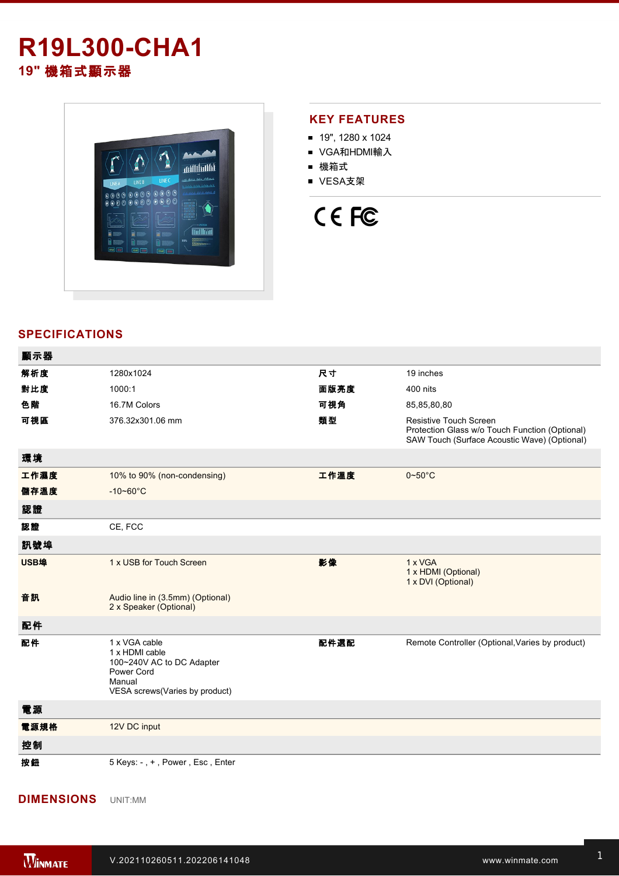## **R19L300-CHA1 19"** 機箱式顯示器



### **KEY FEATURES**

- 19", 1280 x 1024
- VGA和HDMI輸入
- 機箱式
- VESA支架

# CE FC

### **SPECIFICATIONS**

| 顯示器  |                                                                                                                        |      |                                                                                                                                 |
|------|------------------------------------------------------------------------------------------------------------------------|------|---------------------------------------------------------------------------------------------------------------------------------|
| 解析度  | 1280x1024                                                                                                              | 尺寸   | 19 inches                                                                                                                       |
| 對比度  | 1000:1                                                                                                                 | 面版亮度 | 400 nits                                                                                                                        |
| 色階   | 16.7M Colors                                                                                                           | 可視角  | 85,85,80,80                                                                                                                     |
| 可視區  | 376.32x301.06 mm                                                                                                       | 類型   | <b>Resistive Touch Screen</b><br>Protection Glass w/o Touch Function (Optional)<br>SAW Touch (Surface Acoustic Wave) (Optional) |
| 環境   |                                                                                                                        |      |                                                                                                                                 |
| 工作濕度 | 10% to 90% (non-condensing)                                                                                            | 工作溫度 | $0 - 50$ °C                                                                                                                     |
| 儲存溫度 | $-10 - 60^{\circ}C$                                                                                                    |      |                                                                                                                                 |
| 認證   |                                                                                                                        |      |                                                                                                                                 |
| 認證   | CE, FCC                                                                                                                |      |                                                                                                                                 |
| 訊號埠  |                                                                                                                        |      |                                                                                                                                 |
| USB埠 | 1 x USB for Touch Screen                                                                                               | 影像   | 1 x VGA<br>1 x HDMI (Optional)<br>1 x DVI (Optional)                                                                            |
| 音訊   | Audio line in (3.5mm) (Optional)<br>2 x Speaker (Optional)                                                             |      |                                                                                                                                 |
| 配件   |                                                                                                                        |      |                                                                                                                                 |
| 配件   | 1 x VGA cable<br>1 x HDMI cable<br>100~240V AC to DC Adapter<br>Power Cord<br>Manual<br>VESA screws(Varies by product) | 配件選配 | Remote Controller (Optional, Varies by product)                                                                                 |
| 電源   |                                                                                                                        |      |                                                                                                                                 |
| 電源規格 | 12V DC input                                                                                                           |      |                                                                                                                                 |
| 控制   |                                                                                                                        |      |                                                                                                                                 |
| 按鈕   | 5 Keys: -, +, Power, Esc, Enter                                                                                        |      |                                                                                                                                 |

**DIMENSIONS**  UNIT:MM